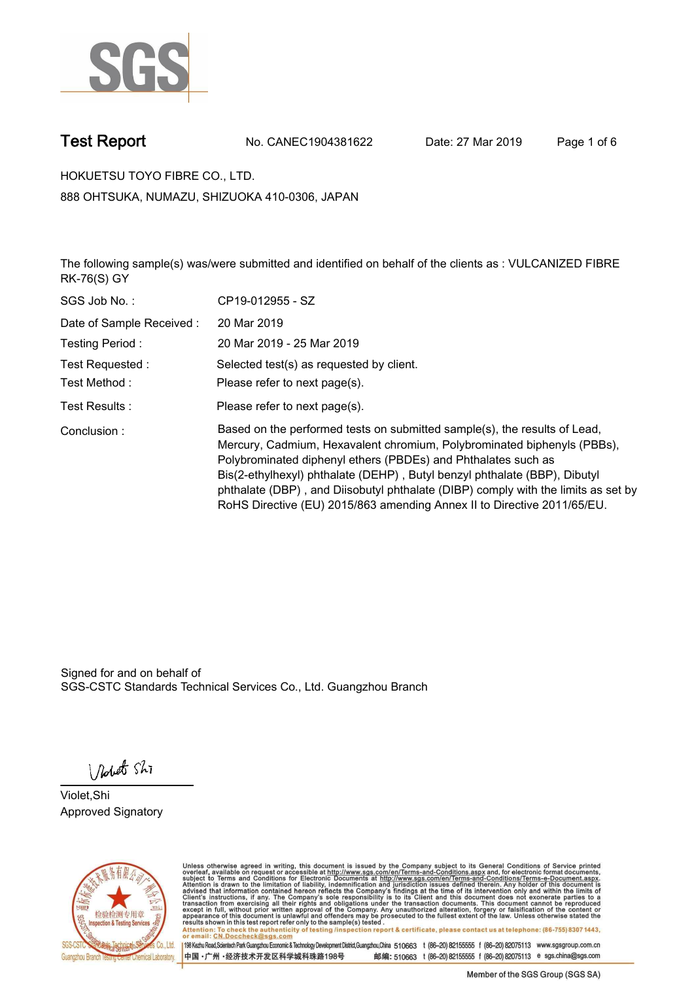

**Test Report. No. CANEC1904381622 Date: 27 Mar 2019. Page 1 of 6.**

**HOKUETSU TOYO FIBRE CO., LTD.. 888 OHTSUKA, NUMAZU, SHIZUOKA 410-0306, JAPAN**

**The following sample(s) was/were submitted and identified on behalf of the clients as : VULCANIZED FIBRE RK-76(S) GY.**

| SGS Job No.:              | CP19-012955 - SZ                                                                                                                                                                                                                                                                                                                                                                                                                                                   |
|---------------------------|--------------------------------------------------------------------------------------------------------------------------------------------------------------------------------------------------------------------------------------------------------------------------------------------------------------------------------------------------------------------------------------------------------------------------------------------------------------------|
| Date of Sample Received : | 20 Mar 2019                                                                                                                                                                                                                                                                                                                                                                                                                                                        |
| Testing Period:           | 20 Mar 2019 - 25 Mar 2019                                                                                                                                                                                                                                                                                                                                                                                                                                          |
| Test Requested:           | Selected test(s) as requested by client.                                                                                                                                                                                                                                                                                                                                                                                                                           |
| Test Method :             | Please refer to next page(s).                                                                                                                                                                                                                                                                                                                                                                                                                                      |
| Test Results :            | Please refer to next page(s).                                                                                                                                                                                                                                                                                                                                                                                                                                      |
| Conclusion:               | Based on the performed tests on submitted sample(s), the results of Lead,<br>Mercury, Cadmium, Hexavalent chromium, Polybrominated biphenyls (PBBs),<br>Polybrominated diphenyl ethers (PBDEs) and Phthalates such as<br>Bis(2-ethylhexyl) phthalate (DEHP), Butyl benzyl phthalate (BBP), Dibutyl<br>phthalate (DBP), and Diisobutyl phthalate (DIBP) comply with the limits as set by<br>RoHS Directive (EU) 2015/863 amending Annex II to Directive 2011/65/EU. |

Signed for and on behalf of SGS-CSTC Standards Technical Services Co., Ltd. Guangzhou Branch.

Nobet Shi

**Violet,Shi. Approved Signatory.**



Unless otherwise agreed in writing, this document is issued by the Company subject to its General Conditions of Service printed<br>overleaf, available on request or accessible at http://www.sgs.com/en/Terms-and-Conditions.asp Attention: To check the authenticity of testing /inspection report & certificate, please contact us at telephone: (86-755) 8307 1443,<br>Attention: To check the authenticity of testing /inspection report & certificate, please

198 Kezhu Road,Scientech Park Guangzhou Economic & Technology Development District,Guangzhou,China 510663 t (86-20) 82155555 f (86-20) 82075113 www.sgsgroup.com.cn 邮编: 510663 t (86-20) 82155555 f (86-20) 82075113 e sgs.china@sgs.com 中国·广州·经济技术开发区科学城科珠路198号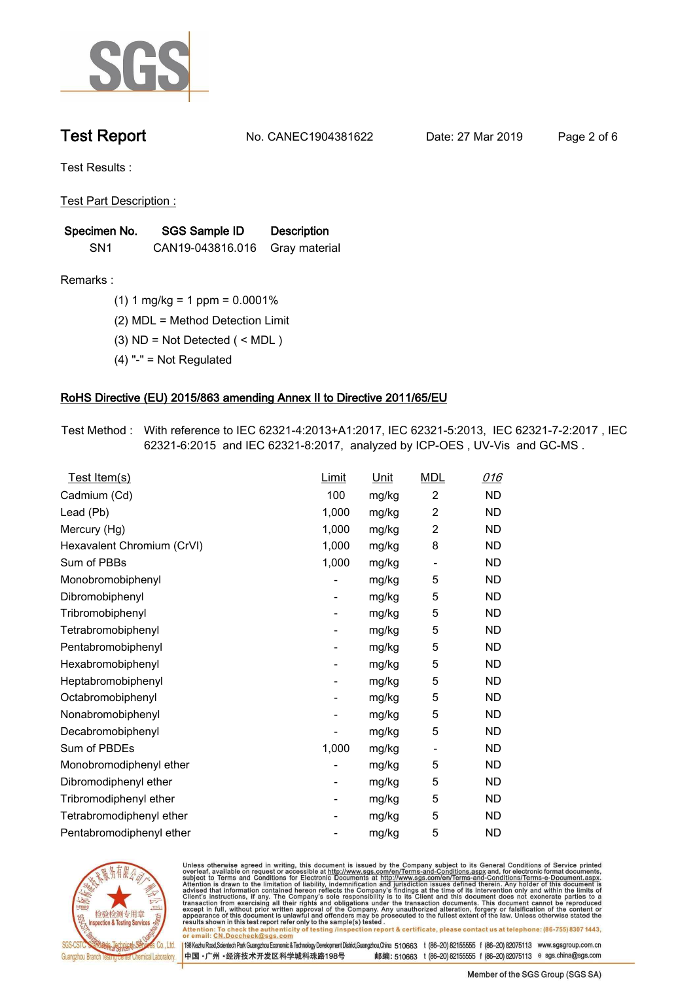

**Test Report. No. CANEC1904381622 Date: 27 Mar 2019. Page 2 of 6.**

**Test Results :.**

**Test Part Description :.**

| Specimen No.    | SGS Sample ID    | <b>Description</b> |  |
|-----------------|------------------|--------------------|--|
| SN <sub>1</sub> | CAN19-043816.016 | Gray material      |  |

**Remarks :.(1) 1 mg/kg = 1 ppm = 0.0001%.**

**(2) MDL = Method Detection Limit.**

- **(3) ND = Not Detected ( < MDL ).**
- **(4) "-" = Not Regulated.**

### **RoHS Directive (EU) 2015/863 amending Annex II to Directive 2011/65/EU.**

**Test Method :. With reference to IEC 62321-4:2013+A1:2017, IEC 62321-5:2013, IEC 62321-7-2:2017 , IEC 62321-6:2015 and IEC 62321-8:2017, analyzed by ICP-OES , UV-Vis and GC-MS ..**

| Test Item(s)               | <u>Limit</u> | <u>Unit</u> | <b>MDL</b>               | 016       |
|----------------------------|--------------|-------------|--------------------------|-----------|
| Cadmium (Cd)               | 100          | mg/kg       | $\overline{2}$           | <b>ND</b> |
| Lead (Pb)                  | 1,000        | mg/kg       | $\overline{c}$           | <b>ND</b> |
| Mercury (Hg)               | 1,000        | mg/kg       | 2                        | <b>ND</b> |
| Hexavalent Chromium (CrVI) | 1,000        | mg/kg       | 8                        | <b>ND</b> |
| Sum of PBBs                | 1,000        | mg/kg       | $\overline{\phantom{a}}$ | <b>ND</b> |
| Monobromobiphenyl          |              | mg/kg       | 5                        | <b>ND</b> |
| Dibromobiphenyl            | -            | mg/kg       | 5                        | <b>ND</b> |
| Tribromobiphenyl           | -            | mg/kg       | 5                        | <b>ND</b> |
| Tetrabromobiphenyl         |              | mg/kg       | 5                        | <b>ND</b> |
| Pentabromobiphenyl         | -            | mg/kg       | 5                        | <b>ND</b> |
| Hexabromobiphenyl          |              | mg/kg       | 5                        | ND        |
| Heptabromobiphenyl         | -            | mg/kg       | 5                        | <b>ND</b> |
| Octabromobiphenyl          |              | mg/kg       | 5                        | <b>ND</b> |
| Nonabromobiphenyl          |              | mg/kg       | 5                        | <b>ND</b> |
| Decabromobiphenyl          |              | mg/kg       | 5                        | <b>ND</b> |
| Sum of PBDEs               | 1,000        | mg/kg       | $\overline{\phantom{a}}$ | <b>ND</b> |
| Monobromodiphenyl ether    |              | mg/kg       | 5                        | <b>ND</b> |
| Dibromodiphenyl ether      | -            | mg/kg       | 5                        | <b>ND</b> |
| Tribromodiphenyl ether     | -            | mg/kg       | 5                        | <b>ND</b> |
| Tetrabromodiphenyl ether   |              | mg/kg       | 5                        | <b>ND</b> |
| Pentabromodiphenyl ether   |              | mg/kg       | 5                        | <b>ND</b> |
|                            |              |             |                          |           |



Unless otherwise agreed in writing, this document is issued by the Company subject to its General Conditions of Service printed<br>overleaf, available on request or accessible at http://www.sgs.com/en/Terms-and-Conditions.asp Attention: To check the authenticity of testing /inspection report & certificate, please contact us at telephone: (86-755) 8307 1443,<br>Attention: To check the authenticity of testing /inspection report & certificate, please

198 Kezhu Road,Scientech Park Guangzhou Economic & Technology Development District,Guangzhou,China 510663 t (86-20) 82155555 f (86-20) 82075113 www.sgsgroup.com.cn 邮编: 510663 t (86-20) 82155555 f (86-20) 82075113 e sgs.china@sgs.com 中国·广州·经济技术开发区科学城科珠路198号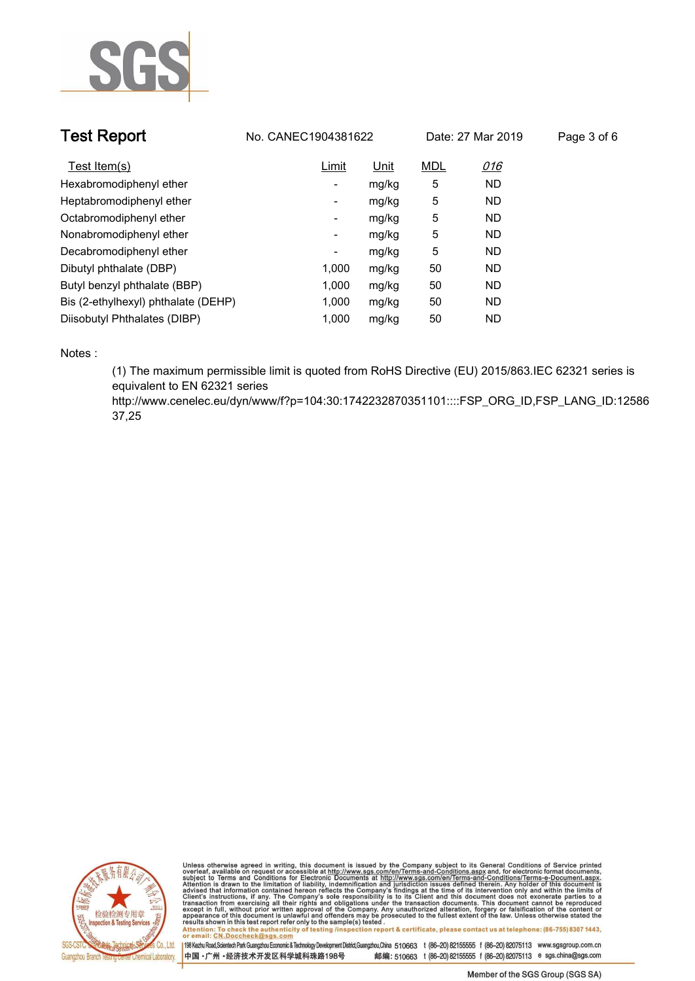

| <b>Test Report</b>                  |       | No. CANEC1904381622<br>Date: 27 Mar 2019 |            | Page 3 of 6 |  |
|-------------------------------------|-------|------------------------------------------|------------|-------------|--|
| Test Item(s)                        | Limit | Unit                                     | <b>MDL</b> | 016         |  |
| Hexabromodiphenyl ether             | ٠     | mg/kg                                    | 5          | <b>ND</b>   |  |
| Heptabromodiphenyl ether            | -     | mg/kg                                    | 5          | <b>ND</b>   |  |
| Octabromodiphenyl ether             | ۰     | mg/kg                                    | 5          | <b>ND</b>   |  |
| Nonabromodiphenyl ether             | Ξ.    | mg/kg                                    | 5          | <b>ND</b>   |  |
| Decabromodiphenyl ether             | ٠     | mg/kg                                    | 5          | <b>ND</b>   |  |
| Dibutyl phthalate (DBP)             | 1.000 | mg/kg                                    | 50         | <b>ND</b>   |  |
| Butyl benzyl phthalate (BBP)        | 1,000 | mg/kg                                    | 50         | <b>ND</b>   |  |
| Bis (2-ethylhexyl) phthalate (DEHP) | 1.000 | mg/kg                                    | 50         | <b>ND</b>   |  |
| Diisobutyl Phthalates (DIBP)        | 1.000 | mg/kg                                    | 50         | <b>ND</b>   |  |

**Notes :.**

**(1) The maximum permissible limit is quoted from RoHS Directive (EU) 2015/863.IEC 62321 series is equivalent to EN 62321 series** 

**http://www.cenelec.eu/dyn/www/f?p=104:30:1742232870351101::::FSP\_ORG\_ID,FSP\_LANG\_ID:12586 37,25.**



Unless otherwise agreed in writing, this document is issued by the Company subject to its General Conditions of Service printed<br>overleaf, available on request or accessible at http://www.sgs.com/en/Terms-and-Conditions.asp Attention: To check the authenticity of testing /inspection report & certificate, please contact us at telephone: (86-755) 8307 1443,<br>Attention: To check the authenticity of testing /inspection report & certificate, please

198 Kezhu Road,Scientech Park Guangzhou Economic & Technology Development District,Guangzhou,China 510663 t (86-20) 82155555 f (86-20) 82075113 www.sgsgroup.com.cn 中国·广州·经济技术开发区科学城科珠路198号 邮编: 510663 t (86-20) 82155555 f (86-20) 82075113 e sgs.china@sgs.com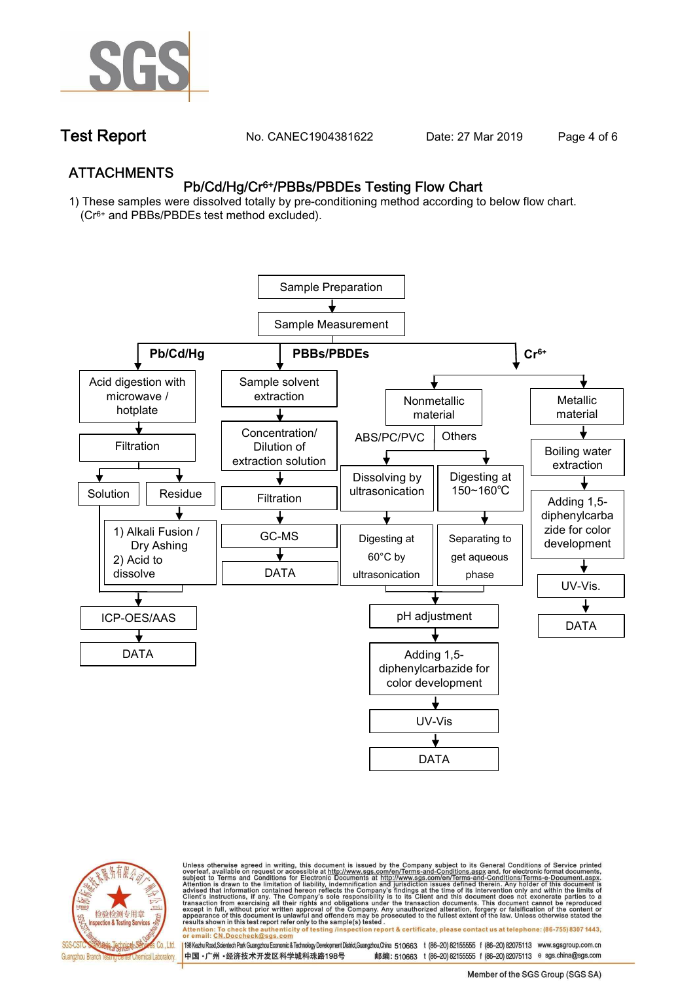

**Test Report. No. CANEC1904381622 Date: 27 Mar 2019. Page 4 of 6.**

## **ATTACHMENTS Pb/Cd/Hg/Cr6+/PBBs/PBDEs Testing Flow Chart**

**1) These samples were dissolved totally by pre-conditioning method according to below flow chart. (Cr6+ and PBBs/PBDEs test method excluded).**





Unless otherwise agreed in writing, this document is issued by the Company subject to its General Conditions of Service printed<br>overleaf, available on request or accessible at http://www.sgs.com/en/Terms-and-Conditions.asp résults shown in this test report refer only to the sample(s) tésted .<br>Attention: To check the authenticity of testing /inspection report & certificate, please contact us at telephone: (86-755) 8307 1443,<br>or email: <u>CN.Doc</u>

198 Kezhu Road,Scientech Park Guangzhou Economic & Technology Development District,Guangzhou,China 510663 t (86-20) 82155555 f (86-20) 82075113 www.sgsgroup.com.cn 邮编: 510663 t (86-20) 82155555 f (86-20) 82075113 e sgs.china@sgs.com 中国·广州·经济技术开发区科学城科珠路198号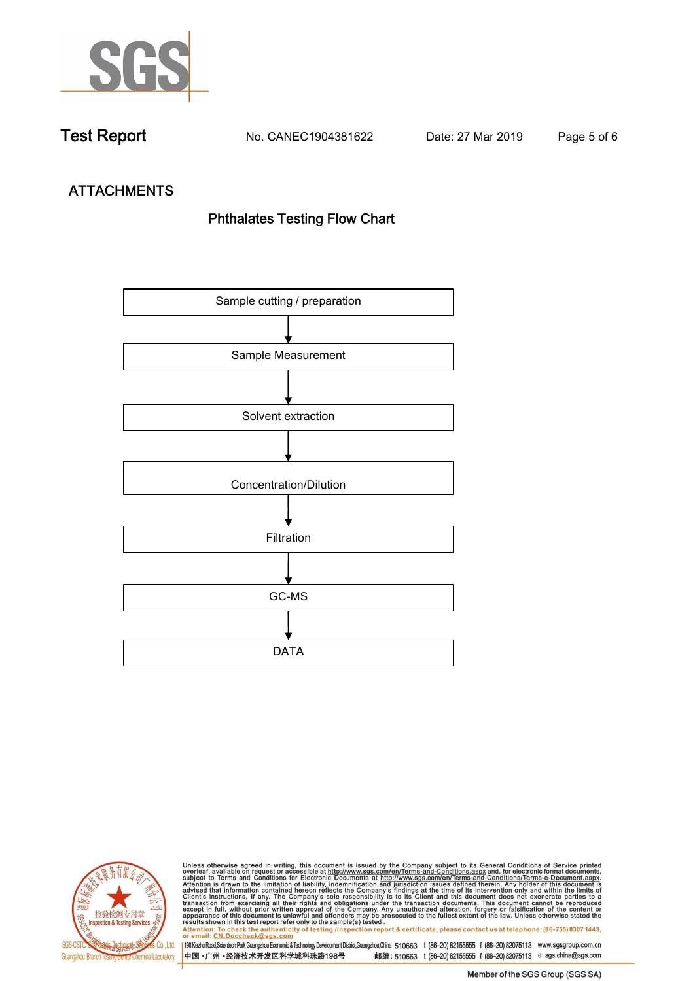

**Test Report. No. CANEC1904381622 Date: 27 Mar 2019. Page 5 of 6.**

# **ATTACHMENTS Phthalates Testing Flow Chart**





Unless otherwise agreed in writing, this document is issued by the Company subject to its General Conditions of Service printed<br>overleaf, available on request or accessible at http://www.sgs.com/en/Terms-and-Conditions.asp results shown in this test report refer only to the sample(s) tested .<br>Attention: To check the authenticity of testing /inspection report & certificate, please contact us at telephone: (86-755) 8307 1443,<br>or email: <u>CN.Doc</u>

198 Kezhu Road,Scientech Park Guangzhou Economic & Technology Development District,Guangzhou,China 510663 t (86-20) 82155555 f (86-20) 82075113 www.sgsgroup.com.cn 中国·广州·经济技术开发区科学城科珠路198号 邮编: 510663 t (86-20) 82155555 f (86-20) 82075113 e sgs.china@sgs.com